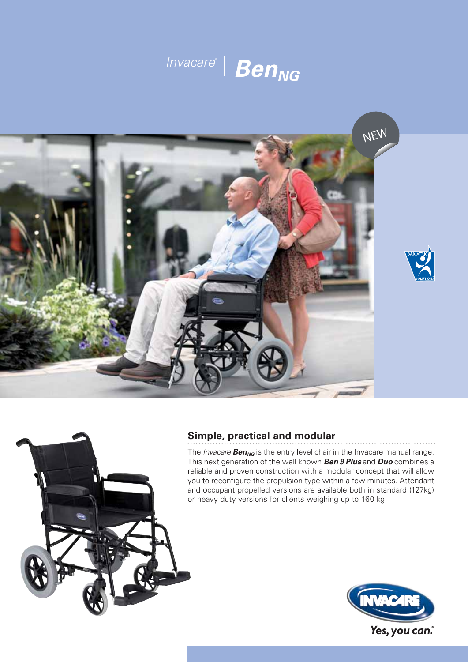





# **Simple, practical and modular**

The *Invacare* **Ben<sub>NG</sub>** is the entry level chair in the Invacare manual range. This next generation of the well known *Ben 9 Plus* and *Duo* combines a reliable and proven construction with a modular concept that will allow you to reconfigure the propulsion type within a few minutes. Attendant and occupant propelled versions are available both in standard (127kg) or heavy duty versions for clients weighing up to 160 kg.